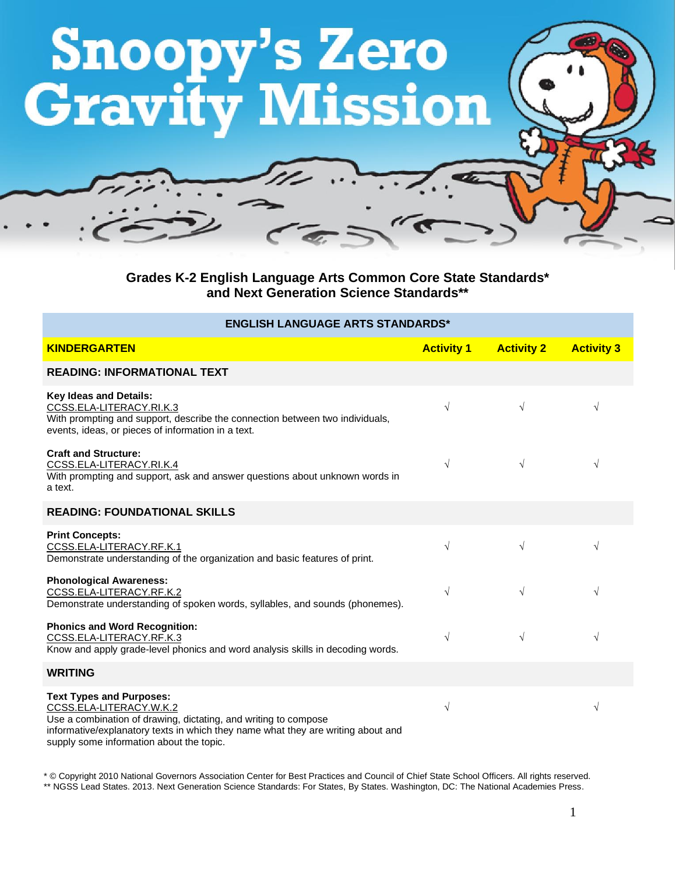

**Grades K-2 English Language Arts Common Core State Standards\* and Next Generation Science Standards\*\***

## **ENGLISH LANGUAGE ARTS STANDARDS\***

| <b>KINDERGARTEN</b>                                                                                                                                                                                                                                           | <b>Activity 1</b> | <b>Activity 2</b> | <b>Activity 3</b> |
|---------------------------------------------------------------------------------------------------------------------------------------------------------------------------------------------------------------------------------------------------------------|-------------------|-------------------|-------------------|
| <b>READING: INFORMATIONAL TEXT</b>                                                                                                                                                                                                                            |                   |                   |                   |
| <b>Key Ideas and Details:</b><br>CCSS.ELA-LITERACY.RI.K.3<br>With prompting and support, describe the connection between two individuals,<br>events, ideas, or pieces of information in a text.                                                               | $\sqrt{ }$        | $\sqrt{}$         | $\sqrt{ }$        |
| <b>Craft and Structure:</b><br>CCSS.ELA-LITERACY.RI.K.4<br>With prompting and support, ask and answer questions about unknown words in<br>a text.                                                                                                             | $\sqrt{ }$        | $\sqrt{}$         | $\sqrt{}$         |
| <b>READING: FOUNDATIONAL SKILLS</b>                                                                                                                                                                                                                           |                   |                   |                   |
| <b>Print Concepts:</b><br>CCSS.ELA-LITERACY.RF.K.1<br>Demonstrate understanding of the organization and basic features of print.                                                                                                                              | $\sqrt{}$         | $\sqrt{}$         | $\sqrt{ }$        |
| <b>Phonological Awareness:</b><br>CCSS.ELA-LITERACY.RF.K.2<br>Demonstrate understanding of spoken words, syllables, and sounds (phonemes).                                                                                                                    | $\sqrt{ }$        | $\sqrt{}$         | $\sqrt{}$         |
| <b>Phonics and Word Recognition:</b><br>CCSS.ELA-LITERACY.RF.K.3<br>Know and apply grade-level phonics and word analysis skills in decoding words.                                                                                                            | $\sqrt{ }$        | $\sqrt{}$         | $\sqrt{ }$        |
| <b>WRITING</b>                                                                                                                                                                                                                                                |                   |                   |                   |
| <b>Text Types and Purposes:</b><br>CCSS.ELA-LITERACY.W.K.2<br>Use a combination of drawing, dictating, and writing to compose<br>informative/explanatory texts in which they name what they are writing about and<br>supply some information about the topic. | $\sqrt{ }$        |                   | $\sqrt{}$         |

\* © Copyright 2010 National Governors Association Center for Best Practices and Council of Chief State School Officers. All rights reserved. \*\* NGSS Lead States. 2013. Next Generation Science Standards: For States, By States. Washington, DC: The National Academies Press.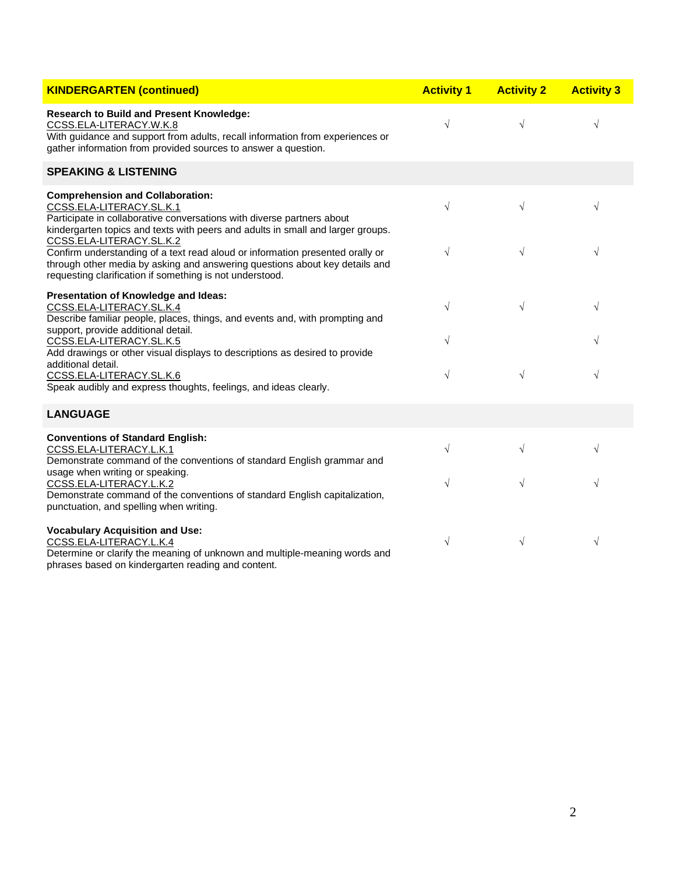| <b>KINDERGARTEN (continued)</b>                                                                                                                                                                                                                      | <b>Activity 1</b> | <b>Activity 2</b> | <b>Activity 3</b> |
|------------------------------------------------------------------------------------------------------------------------------------------------------------------------------------------------------------------------------------------------------|-------------------|-------------------|-------------------|
| <b>Research to Build and Present Knowledge:</b><br>CCSS.ELA-LITERACY.W.K.8<br>With guidance and support from adults, recall information from experiences or<br>gather information from provided sources to answer a question.                        | $\sqrt{}$         | $\sqrt{}$         | $\sqrt{}$         |
| <b>SPEAKING &amp; LISTENING</b>                                                                                                                                                                                                                      |                   |                   |                   |
| <b>Comprehension and Collaboration:</b><br>CCSS.ELA-LITERACY.SL.K.1<br>Participate in collaborative conversations with diverse partners about<br>kindergarten topics and texts with peers and adults in small and larger groups.                     | $\sqrt{}$         | $\sqrt{}$         | $\sqrt{}$         |
| CCSS.ELA-LITERACY.SL.K.2<br>Confirm understanding of a text read aloud or information presented orally or<br>through other media by asking and answering questions about key details and<br>requesting clarification if something is not understood. | $\sqrt{}$         | $\sqrt{}$         | V                 |
| Presentation of Knowledge and Ideas:<br>CCSS.ELA-LITERACY.SL.K.4<br>Describe familiar people, places, things, and events and, with prompting and<br>support, provide additional detail.                                                              | $\sqrt{}$         | $\sqrt{ }$        | $\sqrt{}$         |
| CCSS.ELA-LITERACY.SL.K.5<br>Add drawings or other visual displays to descriptions as desired to provide<br>additional detail.                                                                                                                        | √                 |                   |                   |
| CCSS.ELA-LITERACY.SL.K.6<br>Speak audibly and express thoughts, feelings, and ideas clearly.                                                                                                                                                         | $\sqrt{}$         | $\sqrt{}$         | $\sqrt{}$         |
| <b>LANGUAGE</b>                                                                                                                                                                                                                                      |                   |                   |                   |
| <b>Conventions of Standard English:</b><br>CCSS.ELA-LITERACY.L.K.1<br>Demonstrate command of the conventions of standard English grammar and                                                                                                         | $\sqrt{}$         | $\sqrt{}$         | $\sqrt{}$         |
| usage when writing or speaking.<br>CCSS.ELA-LITERACY.L.K.2<br>Demonstrate command of the conventions of standard English capitalization,<br>punctuation, and spelling when writing.                                                                  | $\sqrt{ }$        | $\sqrt{}$         | $\sqrt{}$         |
| <b>Vocabulary Acquisition and Use:</b><br>CCSS.ELA-LITERACY.L.K.4<br>Determine or clarify the meaning of unknown and multiple-meaning words and<br>phrases based on kindergarten reading and content.                                                | $\sqrt{}$         | $\sqrt{}$         | $\sqrt{}$         |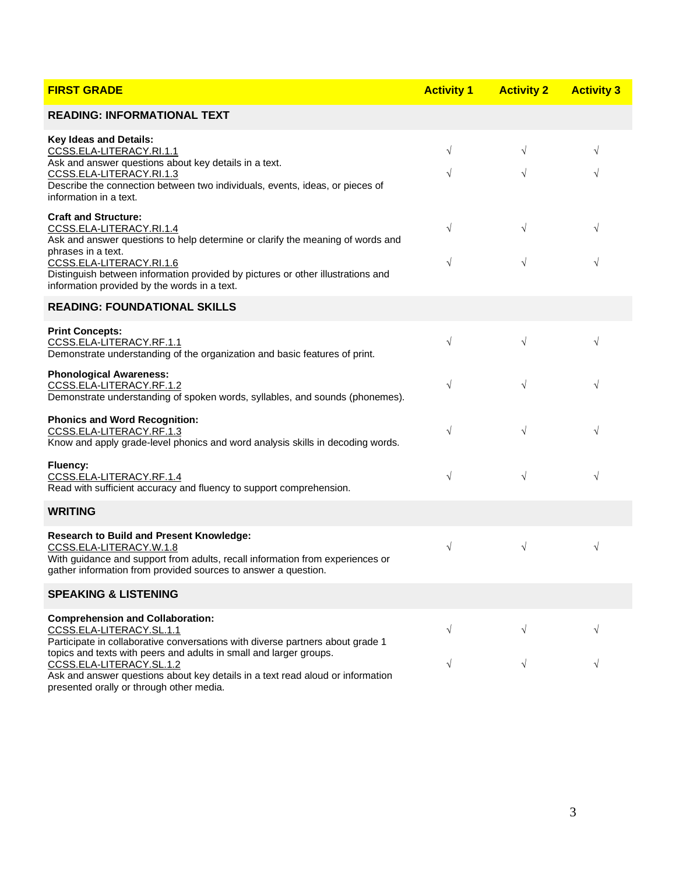| <b>FIRST GRADE</b>                                                                                                                                                                                                            | <b>Activity 1</b> | <b>Activity 2</b> | <b>Activity 3</b> |
|-------------------------------------------------------------------------------------------------------------------------------------------------------------------------------------------------------------------------------|-------------------|-------------------|-------------------|
| <b>READING: INFORMATIONAL TEXT</b>                                                                                                                                                                                            |                   |                   |                   |
| Key Ideas and Details:<br>CCSS.ELA-LITERACY.RI.1.1<br>Ask and answer questions about key details in a text.                                                                                                                   | $\sqrt{}$         | $\sqrt{}$         | $\sqrt{}$         |
| CCSS.ELA-LITERACY.RI.1.3<br>Describe the connection between two individuals, events, ideas, or pieces of<br>information in a text.                                                                                            | $\sqrt{}$         | $\sqrt{}$         | $\sqrt{}$         |
| <b>Craft and Structure:</b><br>CCSS.ELA-LITERACY.RI.1.4<br>Ask and answer questions to help determine or clarify the meaning of words and                                                                                     | $\sqrt{}$         | $\sqrt{}$         | $\sqrt{}$         |
| phrases in a text.<br>CCSS.ELA-LITERACY.RI.1.6<br>Distinguish between information provided by pictures or other illustrations and<br>information provided by the words in a text.                                             | $\sqrt{}$         | $\sqrt{ }$        | $\sqrt{}$         |
| <b>READING: FOUNDATIONAL SKILLS</b>                                                                                                                                                                                           |                   |                   |                   |
| <b>Print Concepts:</b><br>CCSS.ELA-LITERACY.RF.1.1<br>Demonstrate understanding of the organization and basic features of print.                                                                                              | $\sqrt{}$         | $\sqrt{}$         | $\sqrt{}$         |
| <b>Phonological Awareness:</b><br>CCSS.ELA-LITERACY.RF.1.2<br>Demonstrate understanding of spoken words, syllables, and sounds (phonemes).                                                                                    | $\sqrt{}$         | $\sqrt{}$         | $\sqrt{}$         |
| <b>Phonics and Word Recognition:</b><br>CCSS.ELA-LITERACY.RF.1.3<br>Know and apply grade-level phonics and word analysis skills in decoding words.                                                                            | $\sqrt{}$         | $\sqrt{}$         | $\sqrt{}$         |
| Fluency:<br>CCSS.ELA-LITERACY.RF.1.4<br>Read with sufficient accuracy and fluency to support comprehension.                                                                                                                   | $\sqrt{}$         | $\sqrt{ }$        | $\sqrt{}$         |
| <b>WRITING</b>                                                                                                                                                                                                                |                   |                   |                   |
| <b>Research to Build and Present Knowledge:</b><br>CCSS.ELA-LITERACY.W.1.8<br>With guidance and support from adults, recall information from experiences or<br>gather information from provided sources to answer a question. | $\sqrt{}$         | $\sqrt{}$         | $\sqrt{}$         |
| <b>SPEAKING &amp; LISTENING</b>                                                                                                                                                                                               |                   |                   |                   |
| <b>Comprehension and Collaboration:</b><br>CCSS.ELA-LITERACY.SL.1.1<br>Participate in collaborative conversations with diverse partners about grade 1                                                                         | $\sqrt{}$         | √                 | V                 |
| topics and texts with peers and adults in small and larger groups.<br>CCSS.ELA-LITERACY.SL.1.2<br>Ask and answer questions about key details in a text read aloud or information<br>presented orally or through other media.  |                   | $\sqrt{}$         |                   |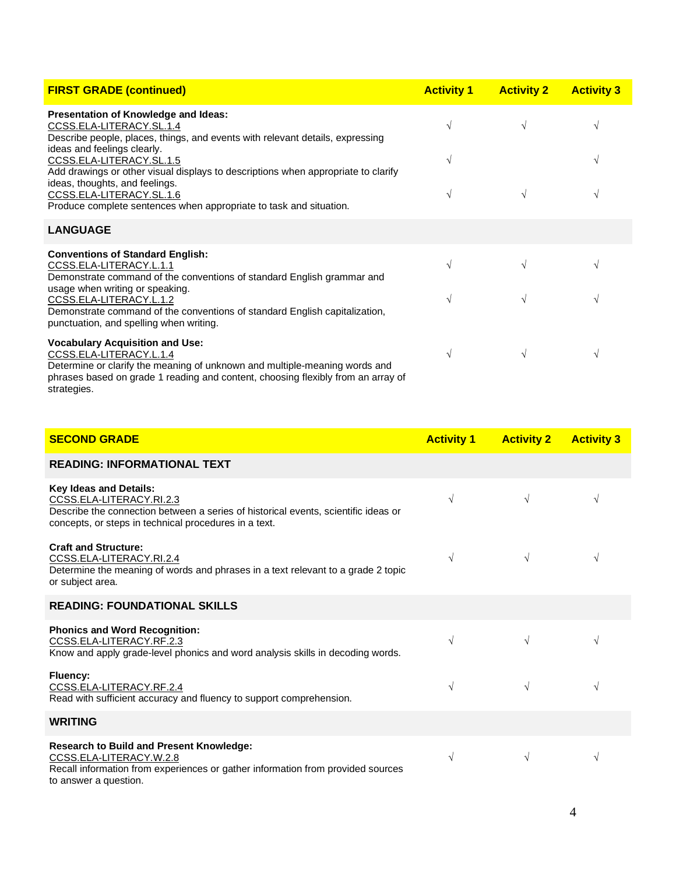| <b>FIRST GRADE (continued)</b>                                                                                                                                                                                                                     | <b>Activity 1</b> | <b>Activity 2</b> | <b>Activity 3</b> |
|----------------------------------------------------------------------------------------------------------------------------------------------------------------------------------------------------------------------------------------------------|-------------------|-------------------|-------------------|
| Presentation of Knowledge and Ideas:<br>CCSS.ELA-LITERACY.SL.1.4<br>Describe people, places, things, and events with relevant details, expressing                                                                                                  | $\sqrt{}$         |                   | V                 |
| ideas and feelings clearly.<br>CCSS.ELA-LITERACY.SL.1.5<br>Add drawings or other visual displays to descriptions when appropriate to clarify                                                                                                       | $\sqrt{}$         |                   | V                 |
| ideas, thoughts, and feelings.<br>CCSS.ELA-LITERACY.SL.1.6<br>Produce complete sentences when appropriate to task and situation.                                                                                                                   | $\sqrt{ }$        |                   | V                 |
| <b>LANGUAGE</b>                                                                                                                                                                                                                                    |                   |                   |                   |
| <b>Conventions of Standard English:</b><br>CCSS.ELA-LITERACY.L.1.1<br>Demonstrate command of the conventions of standard English grammar and                                                                                                       | $\sqrt{}$         |                   | V                 |
| usage when writing or speaking.<br>CCSS.ELA-LITERACY.L.1.2<br>Demonstrate command of the conventions of standard English capitalization,<br>punctuation, and spelling when writing.                                                                | V                 |                   | V                 |
| <b>Vocabulary Acquisition and Use:</b><br>CCSS.ELA-LITERACY.L.1.4<br>Determine or clarify the meaning of unknown and multiple-meaning words and<br>phrases based on grade 1 reading and content, choosing flexibly from an array of<br>strategies. | $\sqrt{ }$        | V                 | V                 |

| <b>SECOND GRADE</b>                                                                                                                                                                                      | <b>Activity 1</b> | <b>Activity 2</b> | <b>Activity 3</b> |
|----------------------------------------------------------------------------------------------------------------------------------------------------------------------------------------------------------|-------------------|-------------------|-------------------|
| <b>READING: INFORMATIONAL TEXT</b>                                                                                                                                                                       |                   |                   |                   |
| <b>Key Ideas and Details:</b><br>CCSS.ELA-LITERACY.RI.2.3<br>Describe the connection between a series of historical events, scientific ideas or<br>concepts, or steps in technical procedures in a text. | $\sqrt{}$         | $\sqrt{}$         | V                 |
| <b>Craft and Structure:</b><br>CCSS.ELA-LITERACY.RI.2.4<br>Determine the meaning of words and phrases in a text relevant to a grade 2 topic<br>or subject area.                                          | $\sqrt{}$         | $\sqrt{}$         | V                 |
| <b>READING: FOUNDATIONAL SKILLS</b>                                                                                                                                                                      |                   |                   |                   |
| <b>Phonics and Word Recognition:</b><br>CCSS.ELA-LITERACY.RF.2.3<br>Know and apply grade-level phonics and word analysis skills in decoding words.                                                       | $\sqrt{ }$        | $\sqrt{}$         | V                 |
| Fluency:<br>CCSS.ELA-LITERACY.RF.2.4<br>Read with sufficient accuracy and fluency to support comprehension.                                                                                              | $\sqrt{ }$        | $\sqrt{}$         | V                 |
| <b>WRITING</b>                                                                                                                                                                                           |                   |                   |                   |
| <b>Research to Build and Present Knowledge:</b><br>CCSS.ELA-LITERACY.W.2.8<br>Recall information from experiences or gather information from provided sources<br>to answer a question.                   | $\sqrt{}$         | $\sqrt{}$         | V                 |